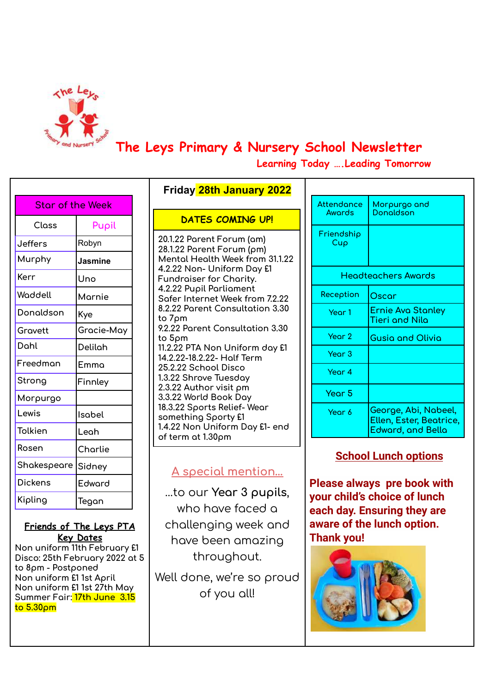

# **The Leys Primary & Nursery School Newsletter**

**Learning Today ….Leading Tomorrow**

| Star of the Week |            |  |
|------------------|------------|--|
| Class            | Pupil      |  |
| Jeffers          | Robyn      |  |
| Murphy           | Jasmine    |  |
| Kerr             | Uno        |  |
| Waddell          | Marnie     |  |
| Donaldson        | Kye        |  |
| Gravett          | Gracie-May |  |
| Dahl             | Delilah    |  |
| Freedman         | Emma       |  |
| Strong           | Finnley    |  |
| Morpurgo         |            |  |
| Lewis            | Isabel     |  |
| Tolkien          | Leah       |  |
| Rosen            | Charlie    |  |
| Shakespeare      | Sidney     |  |
| Dickens          | Edward     |  |
| Kipling          | Tegan      |  |

#### **Friends of The Leys PTA Key Dates**

**Non uniform 11th February £1 Disco: 25th February 2022 at 5 to 8pm - Postponed Non uniform £1 1st April Non uniform £1 1st 27th May Summer Fair: 17th June 3.15 to 5.30pm**

| <b>Friday 28th January 2022</b>                                                                                                                                                                                                                                                                                                                                                                                                                                                |  |  |  |  |
|--------------------------------------------------------------------------------------------------------------------------------------------------------------------------------------------------------------------------------------------------------------------------------------------------------------------------------------------------------------------------------------------------------------------------------------------------------------------------------|--|--|--|--|
| <u>DATES COMING UP!</u>                                                                                                                                                                                                                                                                                                                                                                                                                                                        |  |  |  |  |
| 20.1.22 Parent Forum (am)<br>28.1.22 Parent Forum (pm)<br>Mentol Health Week from 31.1.22<br>4.2.22 Non- Uniform Day £1<br>Fundraiser for Charity.<br>4.2.22 Pupil Parliament<br>Safer Internet Week from 7.2.22<br>8.2.22 Parent Consultation 3.30<br>to 7pm<br>9.2.22 Parent Consultation 3.30<br>to 5pm<br>11.2.22 PTA Non Uniform day £1<br>14.2.22-18.2.22- Half Term<br>25.2.22 School Disco<br>1.3.22 Shrove Tuesday<br>2.3.22 Author visit pm<br>3.3.22 World Book Day |  |  |  |  |
| 18.3.22 Sports Relief-Wear<br>something Sporty £1<br>1.4.22 Non Uniform Day £1- end                                                                                                                                                                                                                                                                                                                                                                                            |  |  |  |  |
| of term at 1.30pm                                                                                                                                                                                                                                                                                                                                                                                                                                                              |  |  |  |  |

# **A special mention…**

…to our **Year 3 pupils**, who have faced a challenging week and have been amazing throughout.

Well done, we're so proud of you all!

| Attendance<br>Awards | Morpurgo and<br><b>Donaldson</b>                                     |
|----------------------|----------------------------------------------------------------------|
| Friendship<br>Cup    |                                                                      |
|                      | Headteachers Awards                                                  |
| Reception            | Oscar                                                                |
| Year 1               | <b>Ernie Ava Stanley</b><br>Tieri and Nila                           |
| Year 2               | <b>Gusia and Olivia</b>                                              |
| Year $3$             |                                                                      |
| Year 4               |                                                                      |
| Year 5               |                                                                      |
| Year 6               | George, Abi, Nabeel,<br>Ellen, Ester, Beatrice,<br>Edward, and Bella |

## **School Lunch options**

**Please always pre book with your child's choice of lunch each day. Ensuring they are aware of the lunch option. Thank you!**

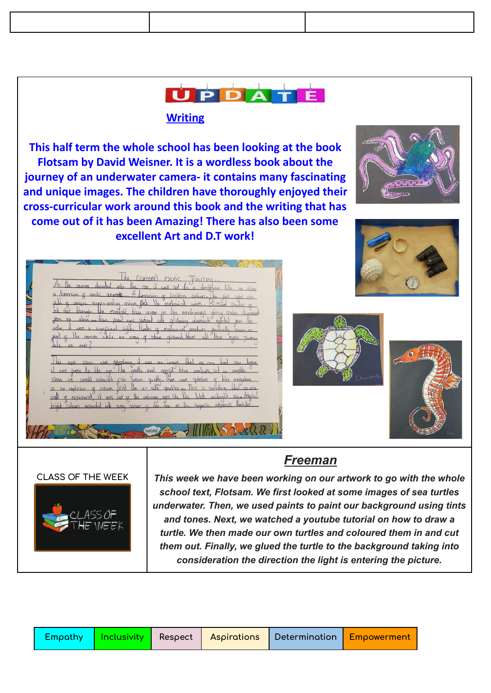# **UPPATE**

#### **Writing**

**This half term the whole school has been looking at the book Flotsam by David Weisner. It is a wordless book about the journey of an underwater camera- it contains many fascinating and unique images. The children have thoroughly enjoyed their cross-curricular work around this book and the writing that has come out of it has been Amazing! There has also been some excellent Art and D.T work!**



|  | cameras exotic Tourney                                                                   |  |
|--|------------------------------------------------------------------------------------------|--|
|  | As the camera depirted into the sea, if yes set to a dimension lib. no other             |  |
|  | dipression of exotic animatis A dimension of limities colours. The first solid uns       |  |
|  | gill of unque number eaching colours, fish like mechanical colocity. Blizzard startes of |  |
|  | not start phone the monetable blue ocean as the exactinguas dossy states shipped         |  |
|  | for up alone as Pare pearl eyes uidand with a strain damands outsided som in             |  |
|  | unter it was a significant sight. Paroles of mechanical creatures particuly symmetry     |  |
|  | de carges while an army of colours pictours black will know music reuning                |  |
|  |                                                                                          |  |



#### **CLASS OF THE WEEK**



*This week we have been working on our artwork to go with the whole school text, Flotsam. We first looked at some images of sea turtles underwater. Then, we used paints to paint our background using tints and tones. Next, we watched a youtube tutorial on how to draw a turtle. We then made our own turtles and coloured them in and cut them out. Finally, we glued the turtle to the background taking into consideration the direction the light is entering the picture.*

| Empathy   Inclusivity   Respect   Aspirations   Determination   Empowerment |  |  |  |  |
|-----------------------------------------------------------------------------|--|--|--|--|
|-----------------------------------------------------------------------------|--|--|--|--|

### *Freeman*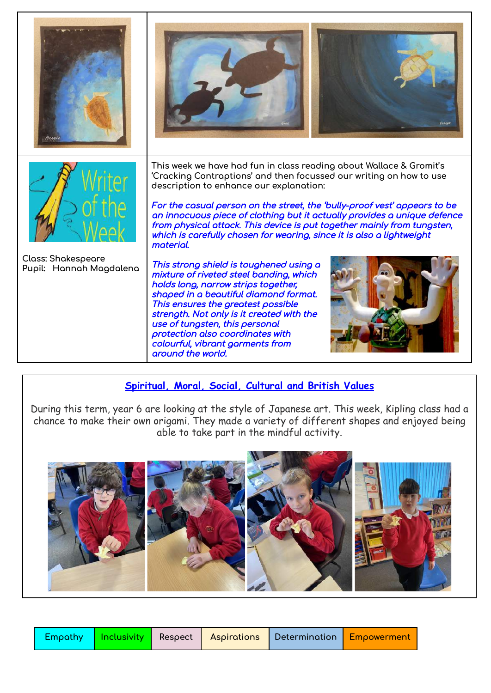

#### **Spiritual, Moral, Social, Cultural and British Values**

around the world.

During this term, year 6 are looking at the style of Japanese art. This week, Kipling class had a chance to make their own origami. They made a variety of different shapes and enjoyed being able to take part in the mindful activity.



|  |  |  |  | Empathy   Inclusivity   Respect   Aspirations   Determination <mark>  Empowerment  </mark> |  |
|--|--|--|--|--------------------------------------------------------------------------------------------|--|
|--|--|--|--|--------------------------------------------------------------------------------------------|--|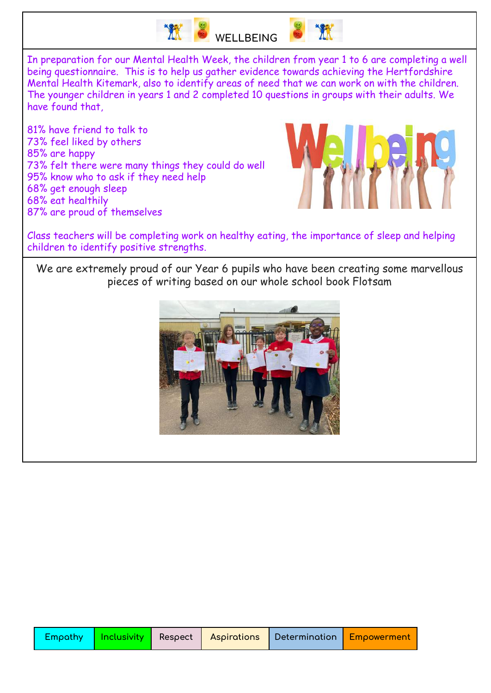

# **WELLBEING**

In preparation for our Mental Health Week, the children from year 1 to 6 are completing a well being questionnaire. This is to help us gather evidence towards achieving the Hertfordshire Mental Health Kitemark, also to identify areas of need that we can work on with the children. The younger children in years 1 and 2 completed 10 questions in groups with their adults. We have found that,

81% have friend to talk to 73% feel liked by others 85% are happy 73% felt there were many things they could do well 95% know who to ask if they need help 68% get enough sleep 68% eat healthily 87% are proud of themselves



Class teachers will be completing work on healthy eating, the importance of sleep and helping children to identify positive strengths.

We are extremely proud of our Year 6 pupils who have been creating some marvellous pieces of writing based on our whole school book Flotsam

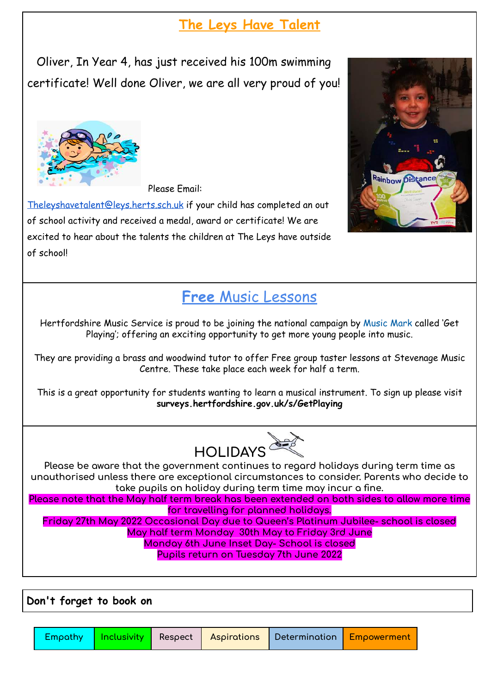# **The Leys Have Talent**

Oliver, In Year 4, has just received his 100m swimming certificate! Well done Oliver, we are all very proud of you!



Please Email:

[Theleyshavetalent@leys.herts.sch.uk](mailto:Theleyshavetalent@leys.herts.sch.uk) if your child has completed an out of school activity and received a medal, award or certificate! We are excited to hear about the talents the children at The Leys have outside of school!



# **Free** Music Lessons

Hertfordshire Music Service is proud to be joining the national campaign by [Music](https://www.musicmark.org.uk/) Mark called 'Get Playing'; offering an exciting opportunity to get more young people into music.

They are providing a brass and woodwind tutor to offer Free group taster lessons at Stevenage Music Centre. These take place each week for half a term.

This is a great opportunity for students wanting to learn a musical instrument. To sign up please visit **surveys.hertfordshire.gov.uk/s/GetPlaying**



**Please be aware that the government continues to regard holidays during term time as unauthorised unless there are exceptional circumstances to consider. Parents who decide to take pupils on holiday during term time may incur a fine.**

**Please note that the May half term break has been extended on both sides to allow more time for travelling for planned holidays.**

**Friday 27th May 2022 Occasional Day due to Queen's Platinum Jubilee- school is closed May half term Monday 30th May to Friday 3rd June Monday 6th June Inset Day- School is closed Pupils return on Tuesday 7th June 2022**

**Don't forget to book on**

|  | Empathy   Inclusivity   Respect   Aspirations   Determination   Empowerment |  |  |  |  |
|--|-----------------------------------------------------------------------------|--|--|--|--|
|--|-----------------------------------------------------------------------------|--|--|--|--|